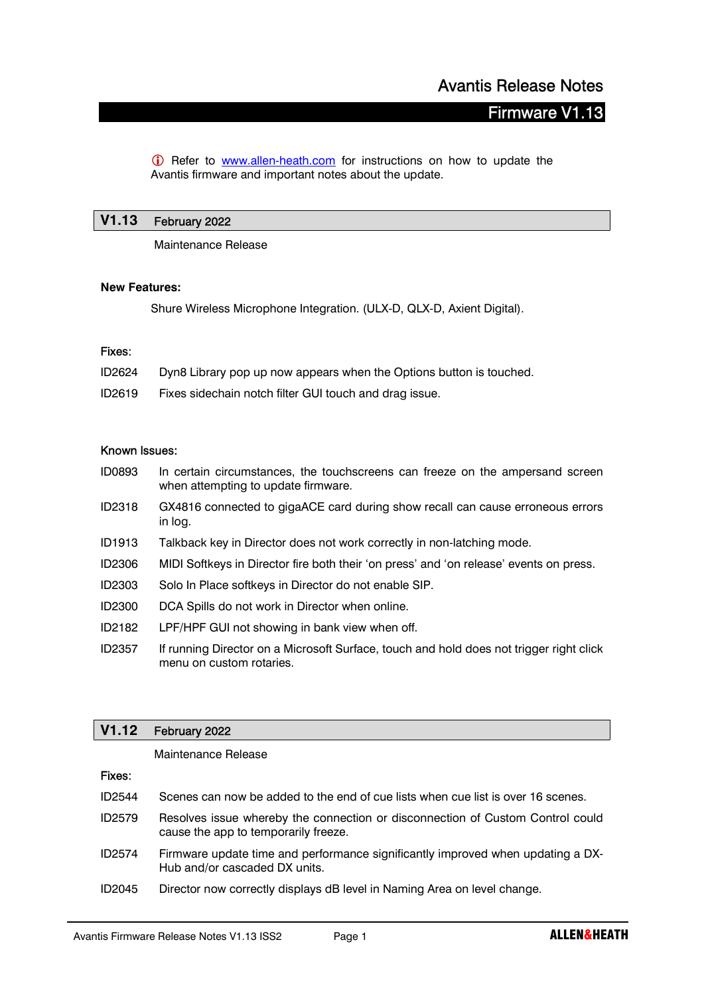# **Firmware V1**

**C** Refer to **www.allen-heath.com** for instructions on how to update the Avantis firmware and important notes about the update.

# V1.13 February 2022

Maintenance Release

#### New Features:

Shure Wireless Microphone Integration. (ULX-D, QLX-D, Axient Digital).

#### Fixes:

| ID2624 | Dyn8 Library pop up now appears when the Options button is touched. |
|--------|---------------------------------------------------------------------|
|--------|---------------------------------------------------------------------|

ID2619 Fixes sidechain notch filter GUI touch and drag issue.

#### Known Issues:

- ID0893 In certain circumstances, the touchscreens can freeze on the ampersand screen when attempting to update firmware.
- ID2318 GX4816 connected to gigaACE card during show recall can cause erroneous errors in log.
- ID1913 Talkback key in Director does not work correctly in non-latching mode.
- ID2306 MIDI Softkeys in Director fire both their 'on press' and 'on release' events on press.
- ID2303 Solo In Place softkeys in Director do not enable SIP.
- ID2300 DCA Spills do not work in Director when online.
- ID2182 LPF/HPF GUI not showing in bank view when off.
- ID2357 If running Director on a Microsoft Surface, touch and hold does not trigger right click menu on custom rotaries.

# V1.12 February 2022

Maintenance Release

# Fixes:

| ID2544 Scenes can now be added to the end of cue lists when cue list is over 16 scenes. |  |  |  |  |
|-----------------------------------------------------------------------------------------|--|--|--|--|
|-----------------------------------------------------------------------------------------|--|--|--|--|

- ID2579 Resolves issue whereby the connection or disconnection of Custom Control could cause the app to temporarily freeze.
- ID2574 Firmware update time and performance significantly improved when updating a DX-Hub and/or cascaded DX units.
- ID2045 Director now correctly displays dB level in Naming Area on level change.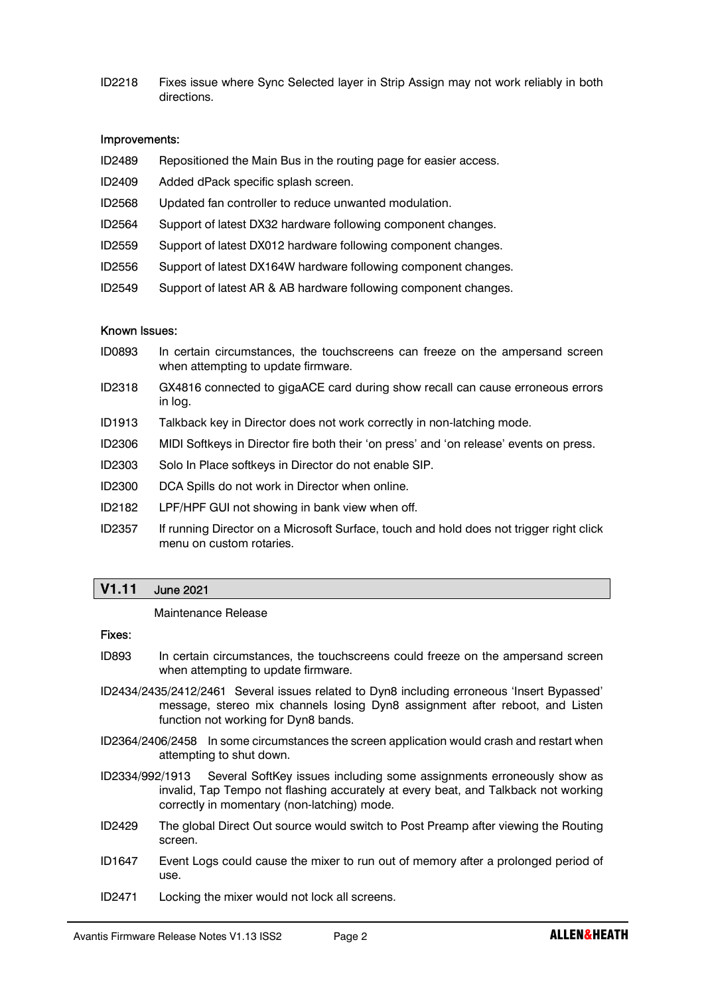ID2218 Fixes issue where Sync Selected layer in Strip Assign may not work reliably in both directions.

# Improvements:

- ID2489 Repositioned the Main Bus in the routing page for easier access.
- ID2409 Added dPack specific splash screen.
- ID2568 Updated fan controller to reduce unwanted modulation.
- ID2564 Support of latest DX32 hardware following component changes.
- ID2559 Support of latest DX012 hardware following component changes.
- ID2556 Support of latest DX164W hardware following component changes.
- ID2549 Support of latest AR & AB hardware following component changes.

# Known Issues:

- ID0893 In certain circumstances, the touchscreens can freeze on the ampersand screen when attempting to update firmware.
- ID2318 GX4816 connected to gigaACE card during show recall can cause erroneous errors in log.
- ID1913 Talkback key in Director does not work correctly in non-latching mode.
- ID2306 MIDI Softkeys in Director fire both their 'on press' and 'on release' events on press.
- ID2303 Solo In Place softkeys in Director do not enable SIP.
- ID2300 DCA Spills do not work in Director when online.
- ID2182 LPF/HPF GUI not showing in bank view when off.
- ID2357 If running Director on a Microsoft Surface, touch and hold does not trigger right click menu on custom rotaries.

# V1.11 June 2021

#### Maintenance Release

#### Fixes:

- ID893 In certain circumstances, the touchscreens could freeze on the ampersand screen when attempting to update firmware.
- ID2434/2435/2412/2461 Several issues related to Dyn8 including erroneous 'Insert Bypassed' message, stereo mix channels losing Dyn8 assignment after reboot, and Listen function not working for Dyn8 bands.
- ID2364/2406/2458 In some circumstances the screen application would crash and restart when attempting to shut down.
- ID2334/992/1913 Several SoftKey issues including some assignments erroneously show as invalid, Tap Tempo not flashing accurately at every beat, and Talkback not working correctly in momentary (non-latching) mode.
- ID2429 The global Direct Out source would switch to Post Preamp after viewing the Routing screen.
- ID1647 Event Logs could cause the mixer to run out of memory after a prolonged period of use.
- ID2471 Locking the mixer would not lock all screens.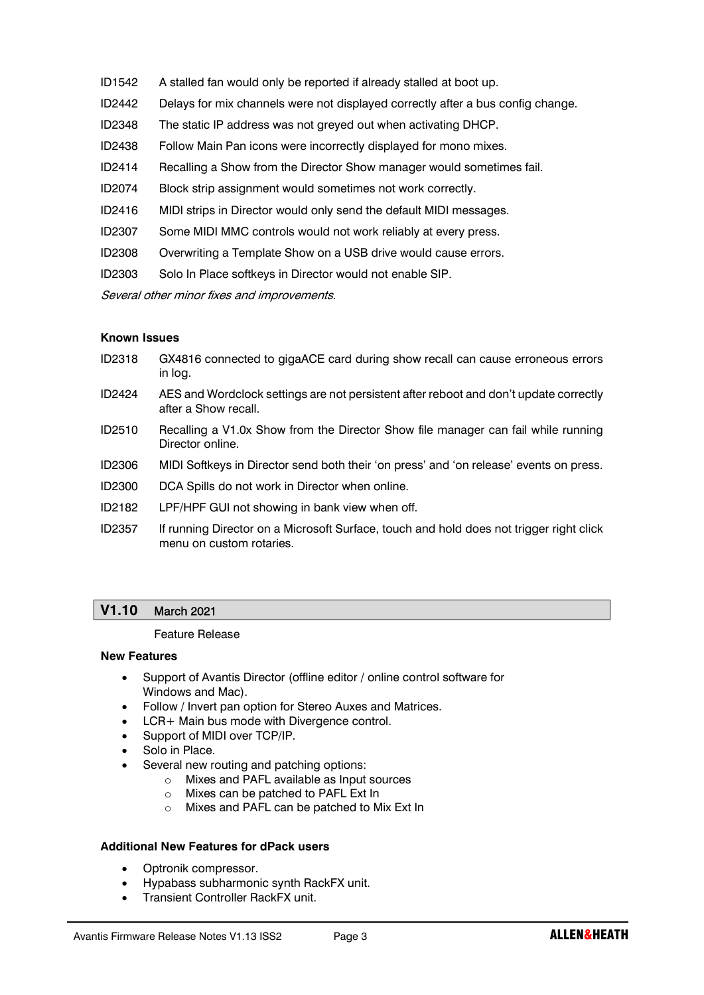- ID1542 A stalled fan would only be reported if already stalled at boot up.
- ID2442 Delays for mix channels were not displayed correctly after a bus config change.
- ID2348 The static IP address was not greyed out when activating DHCP.
- ID2438 Follow Main Pan icons were incorrectly displayed for mono mixes.
- ID2414 Recalling a Show from the Director Show manager would sometimes fail.
- ID2074 Block strip assignment would sometimes not work correctly.
- ID2416 MIDI strips in Director would only send the default MIDI messages.
- ID2307 Some MIDI MMC controls would not work reliably at every press.
- ID2308 Overwriting a Template Show on a USB drive would cause errors.
- ID2303 Solo In Place softkeys in Director would not enable SIP.

Several other minor fixes and improvements.

# Known Issues

- ID2318 GX4816 connected to gigaACE card during show recall can cause erroneous errors in log.
- ID2424 AES and Wordclock settings are not persistent after reboot and don't update correctly after a Show recall.
- ID2510 Recalling a V1.0x Show from the Director Show file manager can fail while running Director online.
- ID2306 MIDI Softkeys in Director send both their 'on press' and 'on release' events on press.
- ID2300 DCA Spills do not work in Director when online.
- ID2182 LPF/HPF GUI not showing in bank view when off.
- ID2357 If running Director on a Microsoft Surface, touch and hold does not trigger right click menu on custom rotaries.

# V1.10 March 2021

# Feature Release

#### New Features

- Support of Avantis Director (offline editor / online control software for Windows and Mac).
- Follow / Invert pan option for Stereo Auxes and Matrices.
- LCR+ Main bus mode with Divergence control.
- Support of MIDI over TCP/IP.
- Solo in Place.
- Several new routing and patching options:
	- o Mixes and PAFL available as Input sources
	- o Mixes can be patched to PAFL Ext In
	- o Mixes and PAFL can be patched to Mix Ext In

# Additional New Features for dPack users

- Optronik compressor.
- Hypabass subharmonic synth RackFX unit.
- Transient Controller RackFX unit.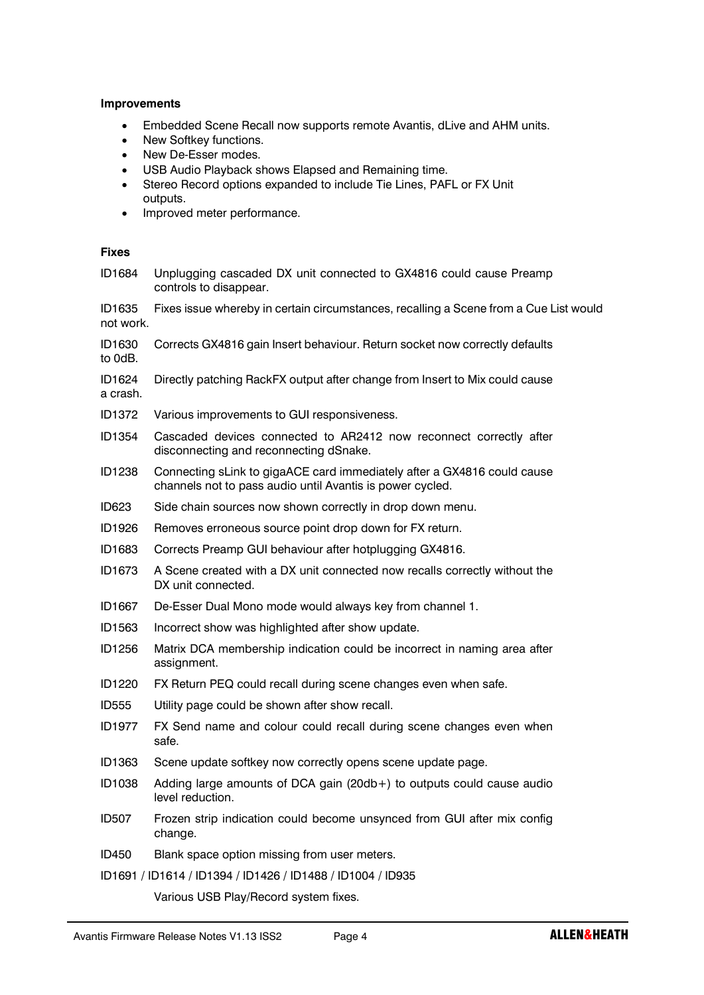### Improvements

- Embedded Scene Recall now supports remote Avantis, dLive and AHM units.
- New Softkey functions.
- New De-Esser modes.
- USB Audio Playback shows Elapsed and Remaining time.
- Stereo Record options expanded to include Tie Lines, PAFL or FX Unit outputs.
- Improved meter performance.

## Fixes

ID1684 Unplugging cascaded DX unit connected to GX4816 could cause Preamp controls to disappear.

ID1635 Fixes issue whereby in certain circumstances, recalling a Scene from a Cue List would not work.

- ID1630 Corrects GX4816 gain Insert behaviour. Return socket now correctly defaults to 0dB.
- ID1624 Directly patching RackFX output after change from Insert to Mix could cause a crash.
- ID1372 Various improvements to GUI responsiveness.
- ID1354 Cascaded devices connected to AR2412 now reconnect correctly after disconnecting and reconnecting dSnake.
- ID1238 Connecting sLink to gigaACE card immediately after a GX4816 could cause channels not to pass audio until Avantis is power cycled.
- ID623 Side chain sources now shown correctly in drop down menu.
- ID1926 Removes erroneous source point drop down for FX return.
- ID1683 Corrects Preamp GUI behaviour after hotplugging GX4816.
- ID1673 A Scene created with a DX unit connected now recalls correctly without the DX unit connected.
- ID1667 De-Esser Dual Mono mode would always key from channel 1.
- ID1563 Incorrect show was highlighted after show update.
- ID1256 Matrix DCA membership indication could be incorrect in naming area after assignment.
- ID1220 FX Return PEQ could recall during scene changes even when safe.
- ID555 Utility page could be shown after show recall.
- ID1977 FX Send name and colour could recall during scene changes even when safe.
- ID1363 Scene update softkey now correctly opens scene update page.
- ID1038 Adding large amounts of DCA gain (20db+) to outputs could cause audio level reduction.
- ID507 Frozen strip indication could become unsynced from GUI after mix config change.
- ID450 Blank space option missing from user meters.
- ID1691 / ID1614 / ID1394 / ID1426 / ID1488 / ID1004 / ID935

Various USB Play/Record system fixes.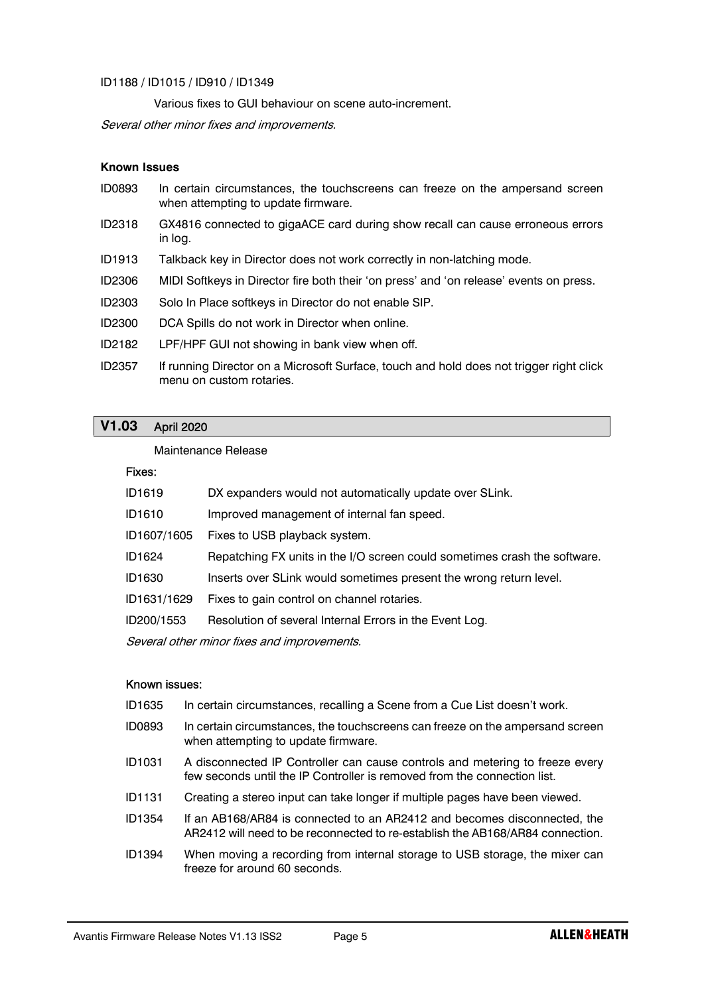### ID1188 / ID1015 / ID910 / ID1349

Various fixes to GUI behaviour on scene auto-increment.

Several other minor fixes and improvements.

# Known Issues

- ID0893 In certain circumstances, the touchscreens can freeze on the ampersand screen when attempting to update firmware.
- ID2318 GX4816 connected to gigaACE card during show recall can cause erroneous errors in log.
- ID1913 Talkback key in Director does not work correctly in non-latching mode.
- ID2306 MIDI Softkeys in Director fire both their 'on press' and 'on release' events on press.
- ID2303 Solo In Place softkeys in Director do not enable SIP.
- ID2300 DCA Spills do not work in Director when online.
- ID2182 LPF/HPF GUI not showing in bank view when off.
- ID2357 If running Director on a Microsoft Surface, touch and hold does not trigger right click menu on custom rotaries.

# V1.03 April 2020

#### Maintenance Release

# Fixes:

| ID1619                                      | DX expanders would not automatically update over SLink.                   |  |  |
|---------------------------------------------|---------------------------------------------------------------------------|--|--|
| ID1610                                      | Improved management of internal fan speed.                                |  |  |
| ID1607/1605                                 | Fixes to USB playback system.                                             |  |  |
| ID1624                                      | Repatching FX units in the I/O screen could sometimes crash the software. |  |  |
| ID1630                                      | Inserts over SLink would sometimes present the wrong return level.        |  |  |
| ID1631/1629                                 | Fixes to gain control on channel rotaries.                                |  |  |
| ID200/1553                                  | Resolution of several Internal Errors in the Event Log.                   |  |  |
| Several other minor fixes and improvements. |                                                                           |  |  |

# Known issues:

- ID1635 In certain circumstances, recalling a Scene from a Cue List doesn't work.
- ID0893 In certain circumstances, the touchscreens can freeze on the ampersand screen when attempting to update firmware.
- ID1031 A disconnected IP Controller can cause controls and metering to freeze every few seconds until the IP Controller is removed from the connection list.
- ID1131 Creating a stereo input can take longer if multiple pages have been viewed.
- ID1354 If an AB168/AR84 is connected to an AR2412 and becomes disconnected, the AR2412 will need to be reconnected to re-establish the AB168/AR84 connection.
- ID1394 When moving a recording from internal storage to USB storage, the mixer can freeze for around 60 seconds.